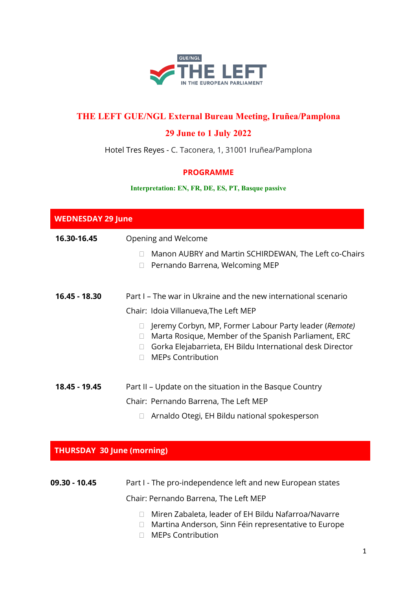

# **THE LEFT GUE/NGL External Bureau Meeting, Iruñea/Pamplona**

## **29 June to 1 July 2022**

Hotel Tres Reyes - C. Taconera, 1, 31001 Iruñea/Pamplona

#### **PROGRAMME**

#### **Interpretation: EN, FR, DE, ES, PT, Basque passive**

| <b>WEDNESDAY 29 June</b>          |                                                                                                                                                                                                                   |
|-----------------------------------|-------------------------------------------------------------------------------------------------------------------------------------------------------------------------------------------------------------------|
| 16.30-16.45                       | Opening and Welcome                                                                                                                                                                                               |
|                                   | Manon AUBRY and Martin SCHIRDEWAN, The Left co-Chairs<br>П<br>Pernando Barrena, Welcoming MEP                                                                                                                     |
| 16.45 - 18.30                     | Part I – The war in Ukraine and the new international scenario                                                                                                                                                    |
|                                   | Chair: Idoia Villanueva, The Left MEP                                                                                                                                                                             |
|                                   | Jeremy Corbyn, MP, Former Labour Party leader (Remote)<br>Marta Rosique, Member of the Spanish Parliament, ERC<br>$\Box$<br>Gorka Elejabarrieta, EH Bildu International desk Director<br><b>MEPs Contribution</b> |
| 18.45 - 19.45                     | Part II - Update on the situation in the Basque Country                                                                                                                                                           |
|                                   | Chair: Pernando Barrena, The Left MEP                                                                                                                                                                             |
|                                   | Arnaldo Otegi, EH Bildu national spokesperson                                                                                                                                                                     |
| <b>THURSDAY 30 June (morning)</b> |                                                                                                                                                                                                                   |
|                                   |                                                                                                                                                                                                                   |
| 09.30 - 10.45                     | Part I - The pro-independence left and new European states                                                                                                                                                        |
|                                   | Chair: Pernando Barrena, The Left MEP                                                                                                                                                                             |
|                                   | $\Box$ Miran Zahalata Japakar of EH Rildu Nafarroa/Navarra                                                                                                                                                        |

- ⮚ Miren Zabaleta, leader of EH Bildu Nafarroa/Navarre □ Martina Anderson, Sinn Féin representative to Europe
- ⮚ MEPs Contribution